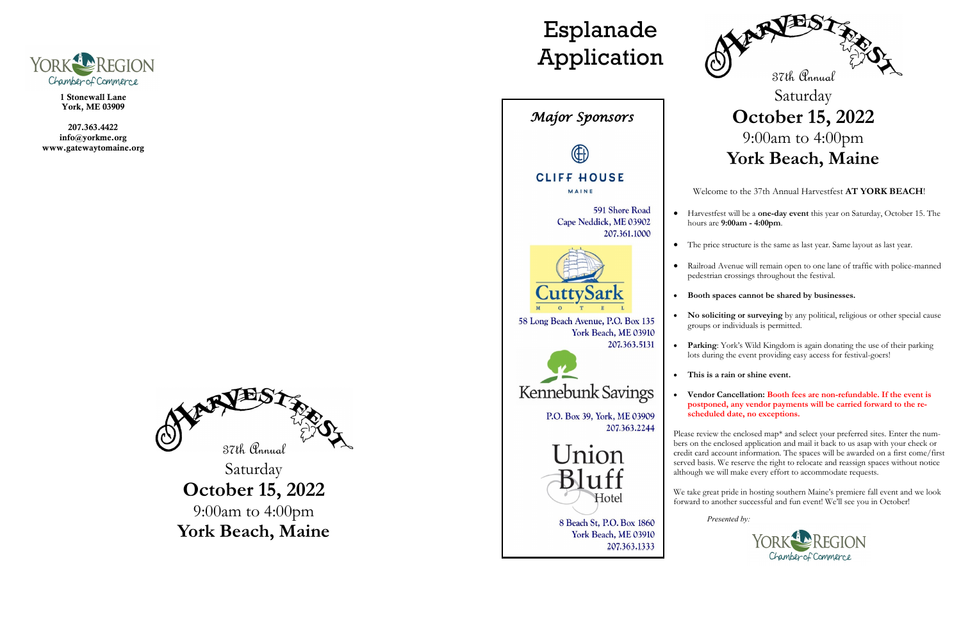

1 Stonewall Lane York, ME 03909

207.363.4422 info@yorkme.org www.gatewaytomaine.org



Saturday **October 15, 2022** 9:00am to 4:00pm **York Beach, Maine**



# Esplanade Application



Welcome to the 37th Annual Harvestfest **AT YORK BEACH**!

• Harvestfest will be a **one-day event** this year on Saturday, October 15. The hours are **9:00am - 4:00pm**.

• The price structure is the same as last year. Same layout as last year.

• Railroad Avenue will remain open to one lane of traffic with police-manned pedestrian crossings throughout the festival.

#### • **Booth spaces cannot be shared by businesses.**

• **No soliciting or surveying** by any political, religious or other special cause groups or individuals is permitted.

Please review the enclosed map\* and select your preferred sites. Enter the numbers on the enclosed application and mail it back to us asap with your check or credit card account information. The spaces will be awarded on a first come/first served basis. We reserve the right to relocate and reassign spaces without notice although we will make every effort to accommodate requests.

• **Parking**: York's Wild Kingdom is again donating the use of their parking lots during the event providing easy access for festival-goers!

• **This is a rain or shine event.**

#### • **Vendor Cancellation: Booth fees are non-refundable. If the event is postponed, any vendor payments will be carried forward to the rescheduled date, no exceptions.**

We take great pride in hosting southern Maine's premiere fall event and we look forward to another successful and fun event! We'll see you in October!

*Presented by:*